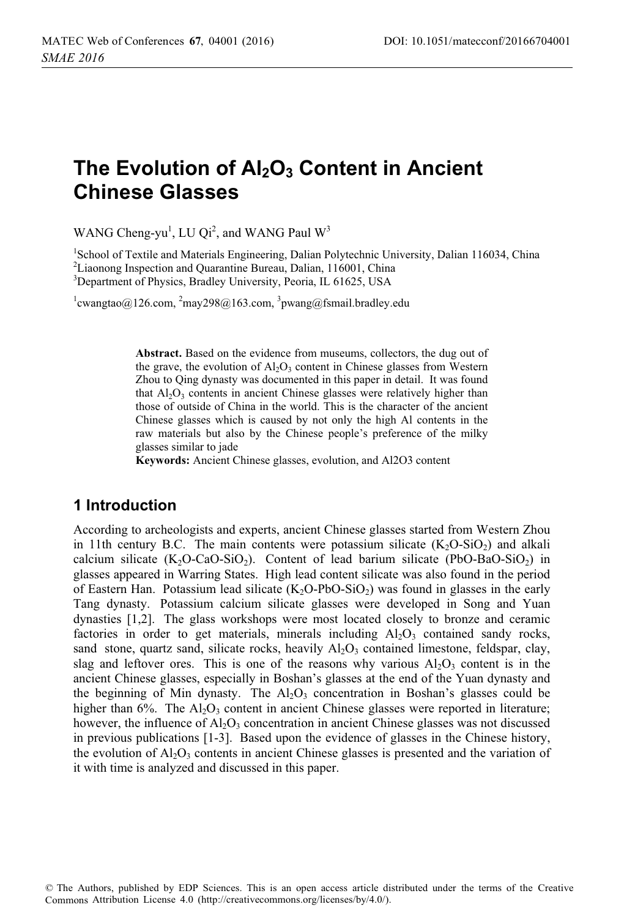# **The Evolution of Al<sub>2</sub>O<sub>3</sub> Content in Ancient Chinese Glasses**

WANG Cheng-yu<sup>1</sup>, LU Qi<sup>2</sup>, and WANG Paul  $W^3$ 

<sup>1</sup>School of Textile and Materials Engineering, Dalian Polytechnic University, Dalian 116034, China <sup>2</sup>Liaonong Inspection and Quarantine Bureau, Dalian, 116001, China 3 Department of Physics, Bradley University, Peoria, IL 61625, USA

 $^{1}$ cwangtao@126.com,  $^{2}$ may298@163.com,  $^{3}$ pwang@fsmail.bradley.edu

**Abstract.** Based on the evidence from museums, collectors, the dug out of the grave, the evolution of  $Al_2O_3$  content in Chinese glasses from Western Zhou to Qing dynasty was documented in this paper in detail. It was found that  $Al_2O_3$  contents in ancient Chinese glasses were relatively higher than those of outside of China in the world. This is the character of the ancient Chinese glasses which is caused by not only the high Al contents in the raw materials but also by the Chinese people's preference of the milky glasses similar to jade

**Keywords:** Ancient Chinese glasses, evolution, and Al2O3 content

# **1 Introduction**

According to archeologists and experts, ancient Chinese glasses started from Western Zhou in 11th century B.C. The main contents were potassium silicate  $(K_2O-SiO_2)$  and alkali calcium silicate  $(K_2O\text{-}CaO\text{-}SiO_2)$ . Content of lead barium silicate (PbO-BaO-SiO<sub>2</sub>) in glasses appeared in Warring States. High lead content silicate was also found in the period of Eastern Han. Potassium lead silicate  $(K_2O-PbO-SiO_2)$  was found in glasses in the early Tang dynasty. Potassium calcium silicate glasses were developed in Song and Yuan dynasties [1,2]. The glass workshops were most located closely to bronze and ceramic factories in order to get materials, minerals including  $A_2O_3$  contained sandy rocks, sand stone, quartz sand, silicate rocks, heavily  $A<sub>1</sub>O<sub>3</sub>$  contained limestone, feldspar, clay, slag and leftover ores. This is one of the reasons why various  $Al_2O_3$  content is in the ancient Chinese glasses, especially in Boshan's glasses at the end of the Yuan dynasty and the beginning of Min dynasty. The  $Al_2O_3$  concentration in Boshan's glasses could be higher than 6%. The  $A_1O_3$  content in ancient Chinese glasses were reported in literature; however, the influence of  $A<sub>12</sub>O<sub>3</sub>$  concentration in ancient Chinese glasses was not discussed in previous publications [1-3]. Based upon the evidence of glasses in the Chinese history, the evolution of  $A_2O_3$  contents in ancient Chinese glasses is presented and the variation of it with time is analyzed and discussed in this paper.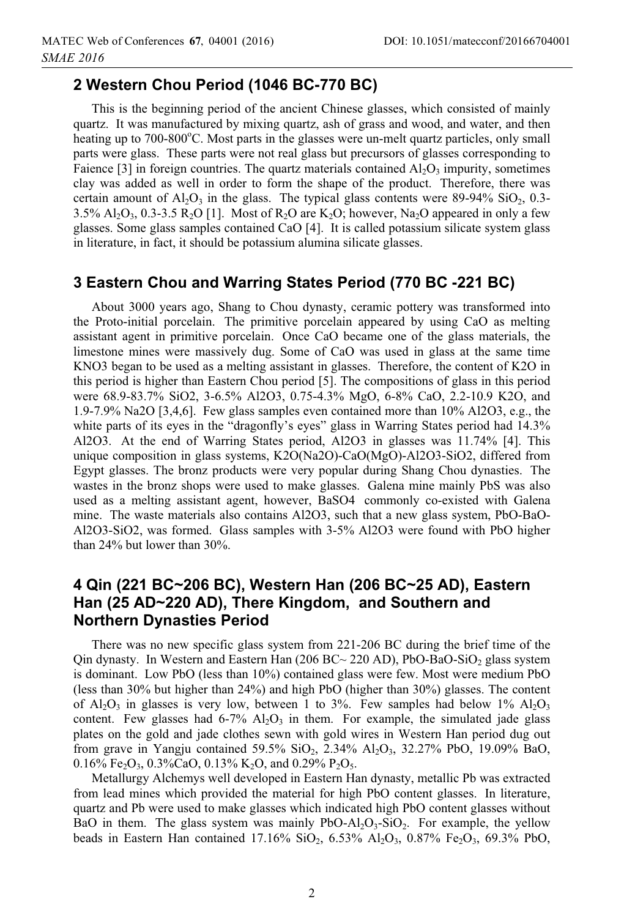# **2 Western Chou Period (1046 BC-770 BC)**

This is the beginning period of the ancient Chinese glasses, which consisted of mainly quartz. It was manufactured by mixing quartz, ash of grass and wood, and water, and then heating up to 700-800°C. Most parts in the glasses were un-melt quartz particles, only small parts were glass. These parts were not real glass but precursors of glasses corresponding to Faience [3] in foreign countries. The quartz materials contained  $Al_2O_3$  impurity, sometimes clay was added as well in order to form the shape of the product. Therefore, there was certain amount of  $Al_2O_3$  in the glass. The typical glass contents were 89-94%  $SiO_2$ , 0.3-3.5% Al<sub>2</sub>O<sub>3</sub>, 0.3-3.5 R<sub>2</sub>O [1]. Most of R<sub>2</sub>O are K<sub>2</sub>O; however, Na<sub>2</sub>O appeared in only a few glasses. Some glass samples contained CaO [4]. It is called potassium silicate system glass in literature, in fact, it should be potassium alumina silicate glasses.

#### **3 Eastern Chou and Warring States Period (770 BC -221 BC)**

About 3000 years ago, Shang to Chou dynasty, ceramic pottery was transformed into the Proto-initial porcelain. The primitive porcelain appeared by using CaO as melting assistant agent in primitive porcelain. Once CaO became one of the glass materials, the limestone mines were massively dug. Some of CaO was used in glass at the same time KNO3 began to be used as a melting assistant in glasses. Therefore, the content of K2O in this period is higher than Eastern Chou period [5]. The compositions of glass in this period were 68.9-83.7% SiO2, 3-6.5% Al2O3, 0.75-4.3% MgO, 6-8% CaO, 2.2-10.9 K2O, and 1.9-7.9% Na2O [3,4,6]. Few glass samples even contained more than 10% Al2O3, e.g., the white parts of its eyes in the "dragonfly's eyes" glass in Warring States period had 14.3% Al2O3. At the end of Warring States period, Al2O3 in glasses was 11.74% [4]. This unique composition in glass systems, K2O(Na2O)-CaO(MgO)-Al2O3-SiO2, differed from Egypt glasses. The bronz products were very popular during Shang Chou dynasties. The wastes in the bronz shops were used to make glasses. Galena mine mainly PbS was also used as a melting assistant agent, however, BaSO4 commonly co-existed with Galena mine. The waste materials also contains Al2O3, such that a new glass system, PbO-BaO-Al2O3-SiO2, was formed. Glass samples with 3-5% Al2O3 were found with PbO higher than 24% but lower than 30%.

# **4 Qin (221 BC~206 BC), Western Han (206 BC~25 AD), Eastern Han (25 AD~220 AD), There Kingdom, and Southern and Northern Dynasties Period**

There was no new specific glass system from 221-206 BC during the brief time of the Qin dynasty. In Western and Eastern Han (206 BC $\sim$  220 AD), PbO-BaO-SiO<sub>2</sub> glass system is dominant. Low PbO (less than 10%) contained glass were few. Most were medium PbO (less than 30% but higher than 24%) and high PbO (higher than 30%) glasses. The content of  $\text{Al}_2\text{O}_3$  in glasses is very low, between 1 to 3%. Few samples had below 1%  $\text{Al}_2\text{O}_3$ content. Few glasses had  $6-7\%$   $Al_2O_3$  in them. For example, the simulated jade glass plates on the gold and jade clothes sewn with gold wires in Western Han period dug out from grave in Yangju contained 59.5% SiO2, 2.34% Al2O3, 32.27% PbO, 19.09% BaO, 0.16% Fe<sub>2</sub>O<sub>3</sub>, 0.3%CaO, 0.13% K<sub>2</sub>O, and 0.29% P<sub>2</sub>O<sub>5</sub>.

Metallurgy Alchemys well developed in Eastern Han dynasty, metallic Pb was extracted from lead mines which provided the material for high PbO content glasses. In literature, quartz and Pb were used to make glasses which indicated high PbO content glasses without BaO in them. The glass system was mainly  $PbO-Al<sub>2</sub>O<sub>3</sub>-SiO<sub>2</sub>$ . For example, the yellow beads in Eastern Han contained 17.16%  $SiO_2$ , 6.53%  $Al_2O_3$ , 0.87% Fe<sub>2</sub>O<sub>3</sub>, 69.3% PbO,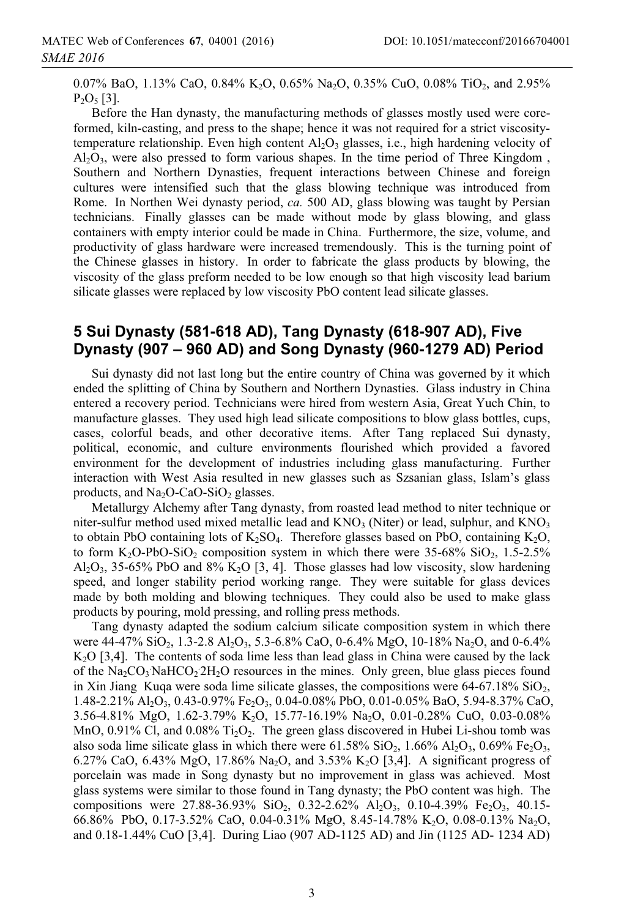0.07% BaO, 1.13% CaO, 0.84% K<sub>2</sub>O, 0.65% Na<sub>2</sub>O, 0.35% CuO, 0.08% TiO<sub>2</sub>, and 2.95%  $P_2O_5$  [3].

Before the Han dynasty, the manufacturing methods of glasses mostly used were coreformed, kiln-casting, and press to the shape; hence it was not required for a strict viscositytemperature relationship. Even high content  $A<sub>1</sub>O<sub>3</sub>$  glasses, i.e., high hardening velocity of  $A<sub>1</sub>Q<sub>3</sub>$ , were also pressed to form various shapes. In the time period of Three Kingdom, Southern and Northern Dynasties, frequent interactions between Chinese and foreign cultures were intensified such that the glass blowing technique was introduced from Rome. In Northen Wei dynasty period, *ca.* 500 AD, glass blowing was taught by Persian technicians. Finally glasses can be made without mode by glass blowing, and glass containers with empty interior could be made in China. Furthermore, the size, volume, and productivity of glass hardware were increased tremendously. This is the turning point of the Chinese glasses in history. In order to fabricate the glass products by blowing, the viscosity of the glass preform needed to be low enough so that high viscosity lead barium silicate glasses were replaced by low viscosity PbO content lead silicate glasses.

#### **5 Sui Dynasty (581-618 AD), Tang Dynasty (618-907 AD), Five Dynasty (907 – 960 AD) and Song Dynasty (960-1279 AD) Period**

Sui dynasty did not last long but the entire country of China was governed by it which ended the splitting of China by Southern and Northern Dynasties. Glass industry in China entered a recovery period. Technicians were hired from western Asia, Great Yuch Chin, to manufacture glasses. They used high lead silicate compositions to blow glass bottles, cups, cases, colorful beads, and other decorative items. After Tang replaced Sui dynasty, political, economic, and culture environments flourished which provided a favored environment for the development of industries including glass manufacturing. Further interaction with West Asia resulted in new glasses such as Szsanian glass, Islam's glass products, and  $Na<sub>2</sub>O-CaO-SiO<sub>2</sub>$  glasses.

Metallurgy Alchemy after Tang dynasty, from roasted lead method to niter technique or niter-sulfur method used mixed metallic lead and  $KNO_3$  (Niter) or lead, sulphur, and  $KNO_3$ to obtain PbO containing lots of  $K_2SO_4$ . Therefore glasses based on PbO, containing  $K_2O$ , to form  $K_2O-PbO-SiO_2$  composition system in which there were 35-68%  $SiO_2$ , 1.5-2.5%  $A<sub>12</sub>O<sub>3</sub>$ , 35-65% PbO and 8% K<sub>2</sub>O [3, 4]. Those glasses had low viscosity, slow hardening speed, and longer stability period working range. They were suitable for glass devices made by both molding and blowing techniques. They could also be used to make glass products by pouring, mold pressing, and rolling press methods.

Tang dynasty adapted the sodium calcium silicate composition system in which there were 44-47% SiO<sub>2</sub>, 1.3-2.8 Al<sub>2</sub>O<sub>3</sub>, 5.3-6.8% CaO, 0-6.4% MgO, 10-18% Na<sub>2</sub>O, and 0-6.4%  $K<sub>2</sub>O$  [3,4]. The contents of soda lime less than lead glass in China were caused by the lack of the  $Na_2CO_3NaHCO_22H_2O$  resources in the mines. Only green, blue glass pieces found in Xin Jiang Kuqa were soda lime silicate glasses, the compositions were  $64-67.18\%$  SiO<sub>2</sub>, 1.48-2.21% Al2O3, 0.43-0.97% Fe2O3, 0.04-0.08% PbO, 0.01-0.05% BaO, 5.94-8.37% CaO, 3.56-4.81% MgO, 1.62-3.79% K2O, 15.77-16.19% Na2O, 0.01-0.28% CuO, 0.03-0.08% MnO,  $0.91\%$  Cl, and  $0.08\%$  Ti<sub>2</sub>O<sub>2</sub>. The green glass discovered in Hubei Li-shou tomb was also soda lime silicate glass in which there were  $61.58\%$  SiO<sub>2</sub>,  $1.66\%$  Al<sub>2</sub>O<sub>3</sub>,  $0.69\%$  Fe<sub>2</sub>O<sub>3</sub>, 6.27% CaO, 6.43% MgO, 17.86% Na<sub>2</sub>O, and 3.53% K<sub>2</sub>O [3,4]. A significant progress of porcelain was made in Song dynasty but no improvement in glass was achieved. Most glass systems were similar to those found in Tang dynasty; the PbO content was high. The compositions were  $27.88-36.93\%$  SiO<sub>2</sub>, 0.32-2.62% Al<sub>2</sub>O<sub>3</sub>, 0.10-4.39% Fe<sub>2</sub>O<sub>3</sub>, 40.15-66.86% PbO, 0.17-3.52% CaO, 0.04-0.31% MgO, 8.45-14.78% K2O, 0.08-0.13% Na2O, and 0.18-1.44% CuO [3,4]. During Liao (907 AD-1125 AD) and Jin (1125 AD- 1234 AD)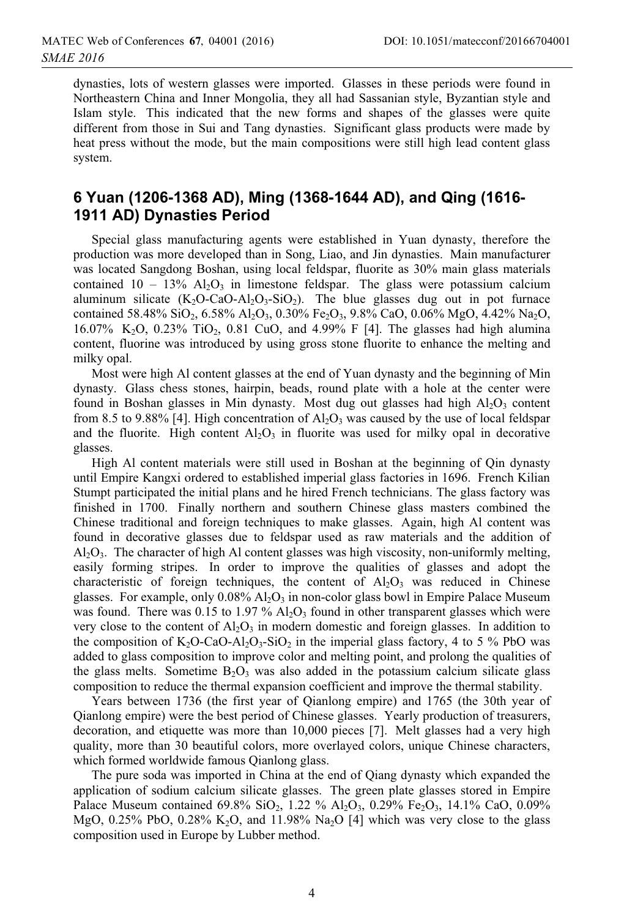dynasties, lots of western glasses were imported. Glasses in these periods were found in Northeastern China and Inner Mongolia, they all had Sassanian style, Byzantian style and Islam style. This indicated that the new forms and shapes of the glasses were quite different from those in Sui and Tang dynasties. Significant glass products were made by heat press without the mode, but the main compositions were still high lead content glass system.

# **6 Yuan (1206-1368 AD), Ming (1368-1644 AD), and Qing (1616- 1911 AD) Dynasties Period**

Special glass manufacturing agents were established in Yuan dynasty, therefore the production was more developed than in Song, Liao, and Jin dynasties. Main manufacturer was located Sangdong Boshan, using local feldspar, fluorite as 30% main glass materials contained  $10 - 13\%$  Al<sub>2</sub>O<sub>3</sub> in limestone feldspar. The glass were potassium calcium aluminum silicate  $(K_2O-CaO-Al_2O_3-SiO_2)$ . The blue glasses dug out in pot furnace contained 58.48% SiO<sub>2</sub>, 6.58% Al<sub>2</sub>O<sub>3</sub>, 0.30% Fe<sub>2</sub>O<sub>3</sub>, 9.8% CaO, 0.06% MgO, 4.42% Na<sub>2</sub>O, 16.07% K<sub>2</sub>O, 0.23% TiO<sub>2</sub>, 0.81 CuO, and 4.99% F [4]. The glasses had high alumina content, fluorine was introduced by using gross stone fluorite to enhance the melting and milky opal.

Most were high Al content glasses at the end of Yuan dynasty and the beginning of Min dynasty. Glass chess stones, hairpin, beads, round plate with a hole at the center were found in Boshan glasses in Min dynasty. Most dug out glasses had high  $Al_2O_3$  content from 8.5 to 9.88% [4]. High concentration of  $Al_2O_3$  was caused by the use of local feldspar and the fluorite. High content  $Al_2O_3$  in fluorite was used for milky opal in decorative glasses.

High Al content materials were still used in Boshan at the beginning of Qin dynasty until Empire Kangxi ordered to established imperial glass factories in 1696. French Kilian Stumpt participated the initial plans and he hired French technicians. The glass factory was finished in 1700. Finally northern and southern Chinese glass masters combined the Chinese traditional and foreign techniques to make glasses. Again, high Al content was found in decorative glasses due to feldspar used as raw materials and the addition of  $A<sub>12</sub>O<sub>3</sub>$ . The character of high Al content glasses was high viscosity, non-uniformly melting, easily forming stripes. In order to improve the qualities of glasses and adopt the characteristic of foreign techniques, the content of  $Al_2O_3$  was reduced in Chinese glasses. For example, only  $0.08\%$  Al<sub>2</sub>O<sub>3</sub> in non-color glass bowl in Empire Palace Museum was found. There was 0.15 to 1.97 %  $A<sub>1</sub>O<sub>3</sub>$  found in other transparent glasses which were very close to the content of  $A_1O_3$  in modern domestic and foreign glasses. In addition to the composition of  $K_2O$ -CaO-Al<sub>2</sub>O<sub>3</sub>-SiO<sub>2</sub> in the imperial glass factory, 4 to 5 % PbO was added to glass composition to improve color and melting point, and prolong the qualities of the glass melts. Sometime  $B_2O_3$  was also added in the potassium calcium silicate glass composition to reduce the thermal expansion coefficient and improve the thermal stability.

Years between 1736 (the first year of Qianlong empire) and 1765 (the 30th year of Qianlong empire) were the best period of Chinese glasses. Yearly production of treasurers, decoration, and etiquette was more than 10,000 pieces [7]. Melt glasses had a very high quality, more than 30 beautiful colors, more overlayed colors, unique Chinese characters, which formed worldwide famous Qianlong glass.

The pure soda was imported in China at the end of Qiang dynasty which expanded the application of sodium calcium silicate glasses. The green plate glasses stored in Empire Palace Museum contained  $69.8\%$  SiO<sub>2</sub>, 1.22 % Al<sub>2</sub>O<sub>3</sub>, 0.29% Fe<sub>2</sub>O<sub>3</sub>, 14.1% CaO, 0.09% MgO, 0.25% PbO, 0.28% K<sub>2</sub>O, and 11.98% Na<sub>2</sub>O [4] which was very close to the glass composition used in Europe by Lubber method.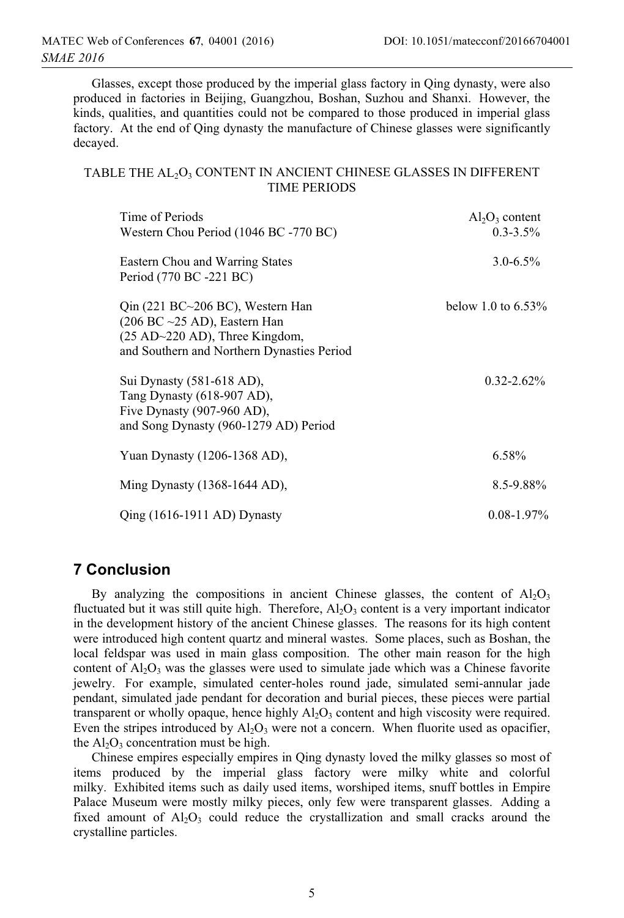Glasses, except those produced by the imperial glass factory in Qing dynasty, were also produced in factories in Beijing, Guangzhou, Boshan, Suzhou and Shanxi. However, the kinds, qualities, and quantities could not be compared to those produced in imperial glass factory. At the end of Qing dynasty the manufacture of Chinese glasses were significantly decayed.

#### TABLE THE AL<sub>2</sub>O<sub>3</sub> CONTENT IN ANCIENT CHINESE GLASSES IN DIFFERENT TIME PERIODS

| Time of Periods<br>Western Chou Period (1046 BC -770 BC)                                                                                                                             | $Al_2O_3$ content<br>$0.3 - 3.5\%$ |
|--------------------------------------------------------------------------------------------------------------------------------------------------------------------------------------|------------------------------------|
| Eastern Chou and Warring States<br>Period (770 BC -221 BC)                                                                                                                           | $3.0 - 6.5\%$                      |
| $Q$ in (221 BC $\sim$ 206 BC), Western Han<br>$(206 \text{ BC} \sim 25 \text{ AD})$ , Eastern Han<br>$(25 AD~220 AD)$ , Three Kingdom,<br>and Southern and Northern Dynasties Period | below 1.0 to $6.53\%$              |
| Sui Dynasty (581-618 AD),<br>Tang Dynasty (618-907 AD),<br>Five Dynasty $(907-960$ AD),<br>and Song Dynasty (960-1279 AD) Period                                                     | $0.32 - 2.62\%$                    |
| Yuan Dynasty (1206-1368 AD),                                                                                                                                                         | 6.58%                              |
| Ming Dynasty $(1368-1644$ AD),                                                                                                                                                       | $8.5 - 9.88\%$                     |
| $Qing (1616-1911 AD)$ Dynasty                                                                                                                                                        | $0.08 - 1.97\%$                    |

# **7 Conclusion**

By analyzing the compositions in ancient Chinese glasses, the content of  $A1_2O_3$ fluctuated but it was still quite high. Therefore,  $A<sub>1</sub>O<sub>3</sub>$  content is a very important indicator in the development history of the ancient Chinese glasses. The reasons for its high content were introduced high content quartz and mineral wastes. Some places, such as Boshan, the local feldspar was used in main glass composition. The other main reason for the high content of  $Al_2O_3$  was the glasses were used to simulate jade which was a Chinese favorite jewelry. For example, simulated center-holes round jade, simulated semi-annular jade pendant, simulated jade pendant for decoration and burial pieces, these pieces were partial transparent or wholly opaque, hence highly  $Al_2O_3$  content and high viscosity were required. Even the stripes introduced by  $A_2O_3$  were not a concern. When fluorite used as opacifier, the  $Al_2O_3$  concentration must be high.

Chinese empires especially empires in Qing dynasty loved the milky glasses so most of items produced by the imperial glass factory were milky white and colorful milky. Exhibited items such as daily used items, worshiped items, snuff bottles in Empire Palace Museum were mostly milky pieces, only few were transparent glasses. Adding a fixed amount of  $Al_2O_3$  could reduce the crystallization and small cracks around the crystalline particles.